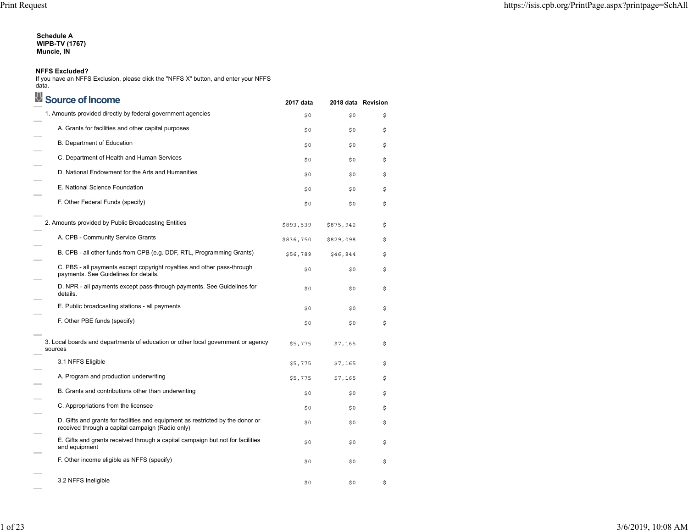# **Schedule A WIPB-TV (1767) Muncie, IN**

#### **NFFS Excluded?**

If you have an NFFS Exclusion, please click the "NFFS X" button, and enter your NFFS data.

| Source of Income                                                                                                                   | 2017 data | 2018 data Revision |    |
|------------------------------------------------------------------------------------------------------------------------------------|-----------|--------------------|----|
| 1. Amounts provided directly by federal government agencies                                                                        | \$0       | \$0                | \$ |
| A. Grants for facilities and other capital purposes                                                                                | \$0       | \$0                | \$ |
| B. Department of Education                                                                                                         | \$0       | \$0                | \$ |
| C. Department of Health and Human Services                                                                                         | \$0       | \$0                | \$ |
| D. National Endowment for the Arts and Humanities                                                                                  | \$0       | \$0                | \$ |
| E. National Science Foundation                                                                                                     | \$0       | \$0                | \$ |
| F. Other Federal Funds (specify)                                                                                                   | \$0       | \$0                | \$ |
| 2. Amounts provided by Public Broadcasting Entities                                                                                | \$893,539 | \$875,942          | \$ |
| A. CPB - Community Service Grants                                                                                                  | \$836,750 | \$829,098          | \$ |
| B. CPB - all other funds from CPB (e.g. DDF, RTL, Programming Grants)                                                              | \$56,789  | \$46,844           | \$ |
| C. PBS - all payments except copyright royalties and other pass-through<br>payments. See Guidelines for details.                   | \$0       | \$0                | \$ |
| D. NPR - all payments except pass-through payments. See Guidelines for<br>details.                                                 | \$0       | \$0                | \$ |
| E. Public broadcasting stations - all payments                                                                                     | \$0       | \$0                | \$ |
| F. Other PBE funds (specify)                                                                                                       | \$0       | \$0                | \$ |
| 3. Local boards and departments of education or other local government or agency<br>sources                                        | \$5,775   | \$7,165            | \$ |
| 3.1 NFFS Eligible                                                                                                                  | \$5,775   | \$7,165            | \$ |
| A. Program and production underwriting                                                                                             | \$5,775   | \$7,165            | \$ |
| B. Grants and contributions other than underwriting                                                                                | \$0       | \$0                | \$ |
| C. Appropriations from the licensee                                                                                                | \$0       | \$0                | \$ |
| D. Gifts and grants for facilities and equipment as restricted by the donor or<br>received through a capital campaign (Radio only) | \$0       | \$0                | \$ |
| E. Gifts and grants received through a capital campaign but not for facilities<br>and equipment                                    | \$0       | \$0                | \$ |
| F. Other income eligible as NFFS (specify)                                                                                         | \$0       | \$0                | \$ |
| 3.2 NFFS Ineligible                                                                                                                | \$0       | \$0                | \$ |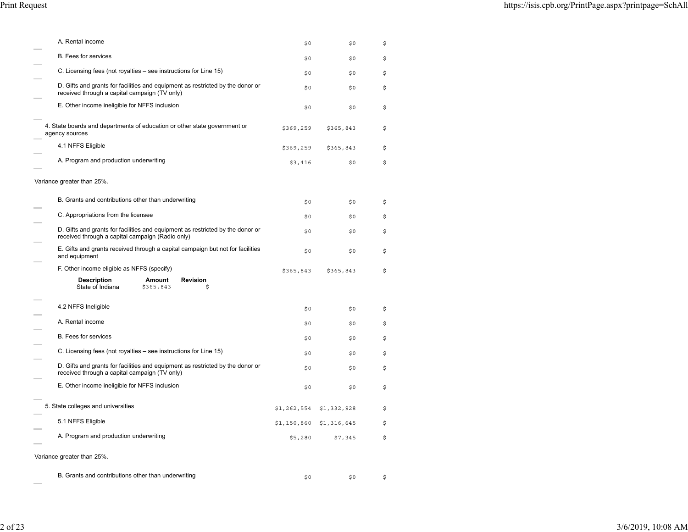| A. Rental income                                                                                                                   | \$0         | \$0         | \$ |
|------------------------------------------------------------------------------------------------------------------------------------|-------------|-------------|----|
| <b>B.</b> Fees for services                                                                                                        | \$0         | \$0         | \$ |
| C. Licensing fees (not royalties – see instructions for Line 15)                                                                   | \$0         | \$0         | \$ |
| D. Gifts and grants for facilities and equipment as restricted by the donor or<br>received through a capital campaign (TV only)    | \$0         | \$0         | \$ |
| E. Other income ineligible for NFFS inclusion                                                                                      | \$0         | \$0         | \$ |
| 4. State boards and departments of education or other state government or<br>agency sources                                        | \$369,259   | \$365,843   | \$ |
| 4.1 NFFS Eligible                                                                                                                  | \$369,259   | \$365,843   | \$ |
| A. Program and production underwriting                                                                                             | \$3,416     | \$0         | \$ |
| Variance greater than 25%.                                                                                                         |             |             |    |
| B. Grants and contributions other than underwriting                                                                                | \$0         | \$0         | \$ |
| C. Appropriations from the licensee                                                                                                | \$0         | \$0         | \$ |
| D. Gifts and grants for facilities and equipment as restricted by the donor or<br>received through a capital campaign (Radio only) | \$0         | \$0         | \$ |
| E. Gifts and grants received through a capital campaign but not for facilities<br>and equipment                                    | \$0         | \$0         | \$ |
| F. Other income eligible as NFFS (specify)                                                                                         | \$365,843   | \$365,843   | \$ |
| <b>Description</b><br><b>Revision</b><br>Amount                                                                                    |             |             |    |
| State of Indiana<br>\$365,843<br>\$                                                                                                |             |             |    |
| 4.2 NFFS Ineligible                                                                                                                | \$0         | \$0         | \$ |
| A. Rental income                                                                                                                   | \$0         | \$0         | \$ |
| B. Fees for services                                                                                                               | \$0         | \$0         | \$ |
| C. Licensing fees (not royalties – see instructions for Line 15)                                                                   | \$0         | \$0         | \$ |
| D. Gifts and grants for facilities and equipment as restricted by the donor or<br>received through a capital campaign (TV only)    | \$0         | \$0         | \$ |
| E. Other income ineligible for NFFS inclusion                                                                                      | \$0         | \$0         | \$ |
| 5. State colleges and universities                                                                                                 | \$1,262,554 | \$1,332,928 | \$ |
| 5.1 NFFS Eligible                                                                                                                  | \$1,150,860 | \$1,316,645 | \$ |
| A. Program and production underwriting                                                                                             | \$5,280     | \$7,345     | \$ |
| Variance greater than 25%.                                                                                                         |             |             |    |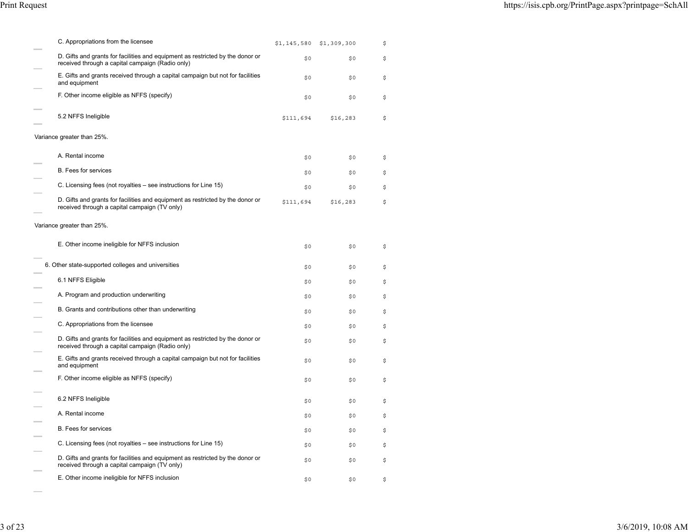| C. Appropriations from the licensee                                                                                                | \$1,145,580 | \$1,309,300 | \$ |
|------------------------------------------------------------------------------------------------------------------------------------|-------------|-------------|----|
| D. Gifts and grants for facilities and equipment as restricted by the donor or<br>received through a capital campaign (Radio only) | \$0         | \$0         | \$ |
| E. Gifts and grants received through a capital campaign but not for facilities<br>and equipment                                    | \$0         | \$0         | \$ |
| F. Other income eligible as NFFS (specify)                                                                                         | \$0         | \$0         | \$ |
| 5.2 NFFS Ineligible                                                                                                                | \$111,694   | \$16, 283   | \$ |
| Variance greater than 25%.                                                                                                         |             |             |    |
| A. Rental income                                                                                                                   | \$0         | \$0         | \$ |
| <b>B.</b> Fees for services                                                                                                        | \$0         | \$0         | \$ |
| C. Licensing fees (not royalties – see instructions for Line 15)                                                                   | \$0         | \$0         | \$ |
| D. Gifts and grants for facilities and equipment as restricted by the donor or<br>received through a capital campaign (TV only)    | \$111,694   | \$16,283    | \$ |
| Variance greater than 25%.                                                                                                         |             |             |    |
| E. Other income ineligible for NFFS inclusion                                                                                      | \$0         | \$0         | \$ |
| 6. Other state-supported colleges and universities                                                                                 | \$0         | \$0         | \$ |
| 6.1 NFFS Eligible                                                                                                                  | \$0         | \$0         | \$ |
| A. Program and production underwriting                                                                                             | \$0         | \$0         | \$ |
| B. Grants and contributions other than underwriting                                                                                | \$0         | \$0         | \$ |
| C. Appropriations from the licensee                                                                                                | \$0         | \$0         | \$ |
| D. Gifts and grants for facilities and equipment as restricted by the donor or<br>received through a capital campaign (Radio only) | \$0         | \$0         | \$ |
| E. Gifts and grants received through a capital campaign but not for facilities<br>and equipment                                    | \$0         | \$0         | \$ |
| F. Other income eligible as NFFS (specify)                                                                                         | \$0         | \$0         | \$ |
| 6.2 NFFS Ineligible                                                                                                                | \$0         | \$0         | \$ |
| A. Rental income                                                                                                                   | \$0         | \$0         | \$ |
| B. Fees for services                                                                                                               | \$0         | \$0         | \$ |
| C. Licensing fees (not royalties – see instructions for Line 15)                                                                   | \$0         | \$0         | \$ |
| D. Gifts and grants for facilities and equipment as restricted by the donor or<br>received through a capital campaign (TV only)    | \$0         | \$0         | \$ |
| E. Other income ineligible for NFFS inclusion                                                                                      | \$0         | \$0         | \$ |

 $\sim$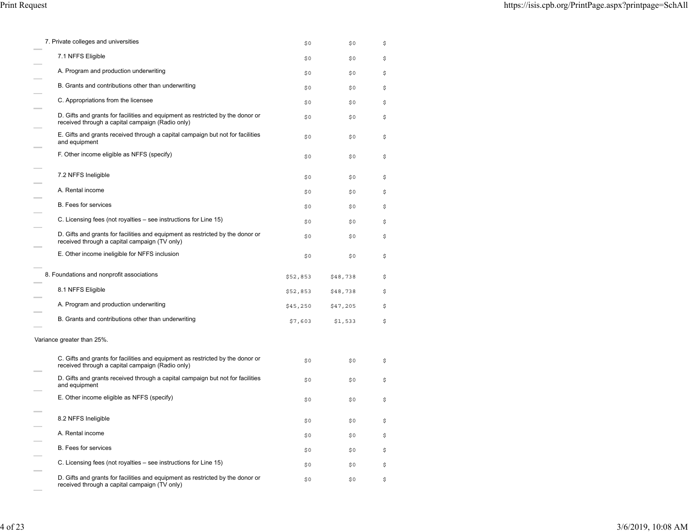| 7. Private colleges and universities                                                                                               | \$0      | \$0      | \$ |
|------------------------------------------------------------------------------------------------------------------------------------|----------|----------|----|
| 7.1 NFFS Eligible                                                                                                                  | \$0      | \$0      | \$ |
| A. Program and production underwriting                                                                                             | \$0      | \$0      | \$ |
| B. Grants and contributions other than underwriting                                                                                | \$0      | \$0      | \$ |
| C. Appropriations from the licensee                                                                                                | \$0      | \$0      | \$ |
| D. Gifts and grants for facilities and equipment as restricted by the donor or<br>received through a capital campaign (Radio only) | \$0      | \$0      | \$ |
| E. Gifts and grants received through a capital campaign but not for facilities<br>and equipment                                    | \$0      | \$0      | \$ |
| F. Other income eligible as NFFS (specify)                                                                                         | \$0      | \$0      | \$ |
| 7.2 NFFS Ineligible                                                                                                                | \$0      | \$0      | \$ |
| A. Rental income                                                                                                                   | \$0      | \$0      | \$ |
| B. Fees for services                                                                                                               | \$0      | \$0      | \$ |
| C. Licensing fees (not royalties - see instructions for Line 15)                                                                   | \$0      | \$0      | \$ |
| D. Gifts and grants for facilities and equipment as restricted by the donor or<br>received through a capital campaign (TV only)    | \$0      | \$0      | \$ |
| E. Other income ineligible for NFFS inclusion                                                                                      | \$0      | \$0      | \$ |
| 8. Foundations and nonprofit associations                                                                                          | \$52,853 | \$48,738 | \$ |
| 8.1 NFFS Eligible                                                                                                                  | \$52,853 | \$48,738 | \$ |
| A. Program and production underwriting                                                                                             | \$45,250 | \$47,205 | \$ |
| B. Grants and contributions other than underwriting                                                                                | \$7,603  | \$1,533  | \$ |
| Variance greater than 25%.                                                                                                         |          |          |    |
| C. Gifts and grants for facilities and equipment as restricted by the donor or<br>received through a capital campaign (Radio only) | \$0      | \$0      | \$ |
| D. Gifts and grants received through a capital campaign but not for facilities<br>and equipment                                    | \$0      | \$0      | \$ |
| E. Other income eligible as NFFS (specify)                                                                                         | \$0      | \$0      | \$ |
| 8.2 NFFS Ineligible                                                                                                                | \$0      | \$0      | \$ |
| A. Rental income                                                                                                                   | \$0      | \$0      | \$ |
| B. Fees for services                                                                                                               | \$0      | \$0      | \$ |
| C. Licensing fees (not royalties – see instructions for Line 15)                                                                   | \$0      | \$0      | \$ |
| D. Gifts and grants for facilities and equipment as restricted by the donor or<br>received through a capital campaign (TV only)    | \$0      | \$0      | \$ |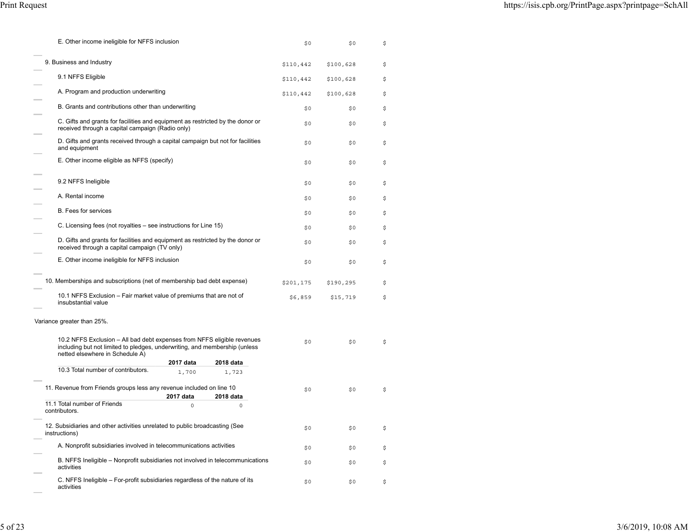| E. Other income ineligible for NFFS inclusion                                                                                                                                            |           |           | \$0       | \$0       | \$ |
|------------------------------------------------------------------------------------------------------------------------------------------------------------------------------------------|-----------|-----------|-----------|-----------|----|
| 9. Business and Industry                                                                                                                                                                 |           |           | \$110,442 | \$100,628 | \$ |
| 9.1 NFFS Eligible                                                                                                                                                                        |           |           | \$110,442 | \$100,628 | \$ |
| A. Program and production underwriting                                                                                                                                                   |           |           | \$110,442 | \$100,628 | \$ |
| B. Grants and contributions other than underwriting                                                                                                                                      |           |           | \$0       | \$0       | \$ |
| C. Gifts and grants for facilities and equipment as restricted by the donor or<br>received through a capital campaign (Radio only)                                                       |           |           | \$0       | \$0       | \$ |
| D. Gifts and grants received through a capital campaign but not for facilities<br>and equipment                                                                                          |           |           | \$0       | \$0       | \$ |
| E. Other income eligible as NFFS (specify)                                                                                                                                               |           |           | \$0       | \$0       | \$ |
| 9.2 NFFS Ineligible                                                                                                                                                                      |           |           | \$0       | \$0       | \$ |
| A. Rental income                                                                                                                                                                         |           |           | \$0       | \$0       | \$ |
| B. Fees for services                                                                                                                                                                     |           |           | \$0       | \$0       | \$ |
| C. Licensing fees (not royalties – see instructions for Line 15)                                                                                                                         |           |           | \$0       | \$0       | \$ |
| D. Gifts and grants for facilities and equipment as restricted by the donor or<br>received through a capital campaign (TV only)                                                          |           |           | \$0       | \$0       | \$ |
| E. Other income ineligible for NFFS inclusion                                                                                                                                            |           |           | \$0       | \$0       | \$ |
| 10. Memberships and subscriptions (net of membership bad debt expense)                                                                                                                   |           |           | \$201,175 | \$190,295 | \$ |
| 10.1 NFFS Exclusion – Fair market value of premiums that are not of<br>insubstantial value                                                                                               |           |           | \$6,859   | \$15,719  | \$ |
| Variance greater than 25%.                                                                                                                                                               |           |           |           |           |    |
| 10.2 NFFS Exclusion - All bad debt expenses from NFFS eligible revenues<br>including but not limited to pledges, underwriting, and membership (unless<br>netted elsewhere in Schedule A) |           |           | \$0       | \$0       | \$ |
|                                                                                                                                                                                          | 2017 data | 2018 data |           |           |    |
| 10.3 Total number of contributors.                                                                                                                                                       | 1,700     | 1,723     |           |           |    |
| 11. Revenue from Friends groups less any revenue included on line 10                                                                                                                     |           |           | \$0       | \$0       | \$ |
|                                                                                                                                                                                          | 2017 data | 2018 data |           |           |    |
| 11.1 Total number of Friends<br>contributors.                                                                                                                                            | $\Omega$  | $\Omega$  |           |           |    |
| 12. Subsidiaries and other activities unrelated to public broadcasting (See<br>instructions)                                                                                             |           |           | \$0       | \$0       | \$ |
| A. Nonprofit subsidiaries involved in telecommunications activities                                                                                                                      |           |           | \$0       | \$0       | \$ |
| B. NFFS Ineligible – Nonprofit subsidiaries not involved in telecommunications<br>activities                                                                                             |           |           | \$0       | \$0       | \$ |
| C. NFFS Ineligible - For-profit subsidiaries regardless of the nature of its<br>activities                                                                                               |           |           | \$0       | \$0       | \$ |

 $\sim$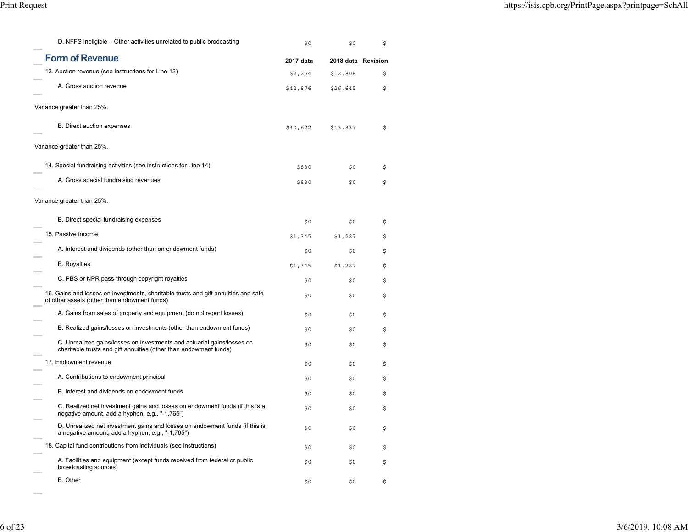| D. NFFS Ineligible – Other activities unrelated to public brodcasting                                                                        | \$0       | \$0                | \$ |
|----------------------------------------------------------------------------------------------------------------------------------------------|-----------|--------------------|----|
| <b>Form of Revenue</b>                                                                                                                       | 2017 data | 2018 data Revision |    |
| 13. Auction revenue (see instructions for Line 13)                                                                                           | \$2,254   | \$12,808           | \$ |
| A. Gross auction revenue                                                                                                                     | \$42,876  | \$26,645           | \$ |
| Variance greater than 25%.                                                                                                                   |           |                    |    |
| <b>B.</b> Direct auction expenses                                                                                                            | \$40,622  | \$13,837           | \$ |
| Variance greater than 25%.                                                                                                                   |           |                    |    |
| 14. Special fundraising activities (see instructions for Line 14)                                                                            | \$830     | \$0                | \$ |
| A. Gross special fundraising revenues                                                                                                        | \$830     | \$0                | \$ |
| Variance greater than 25%.                                                                                                                   |           |                    |    |
| B. Direct special fundraising expenses                                                                                                       | \$0       | \$0                | \$ |
| 15. Passive income                                                                                                                           | \$1,345   | \$1,287            | \$ |
| A. Interest and dividends (other than on endowment funds)                                                                                    | \$0       | \$0                | \$ |
| <b>B.</b> Royalties                                                                                                                          | \$1,345   | \$1,287            | \$ |
| C. PBS or NPR pass-through copyright royalties                                                                                               | \$0       | \$0                | \$ |
| 16. Gains and losses on investments, charitable trusts and gift annuities and sale<br>of other assets (other than endowment funds)           | \$0       | \$0                | \$ |
| A. Gains from sales of property and equipment (do not report losses)                                                                         | \$0       | \$0                | \$ |
| B. Realized gains/losses on investments (other than endowment funds)                                                                         | \$0       | \$0                | \$ |
| C. Unrealized gains/losses on investments and actuarial gains/losses on<br>charitable trusts and gift annuities (other than endowment funds) | \$0       | \$0                | \$ |
| 17. Endowment revenue                                                                                                                        | \$0       | \$0                | \$ |
| A. Contributions to endowment principal                                                                                                      | \$0       | \$0                | \$ |
| B. Interest and dividends on endowment funds                                                                                                 | \$0       | \$0                | \$ |
| C. Realized net investment gains and losses on endowment funds (if this is a<br>negative amount, add a hyphen, e.g., "-1,765")               | \$0       | \$0                | \$ |
| D. Unrealized net investment gains and losses on endowment funds (if this is<br>a negative amount, add a hyphen, e.g., "-1,765")             | \$0       | \$0                | \$ |
| 18. Capital fund contributions from individuals (see instructions)                                                                           | \$0       | \$0                | \$ |
| A. Facilities and equipment (except funds received from federal or public<br>broadcasting sources)                                           | \$0       | \$0                | \$ |
| <b>B.</b> Other                                                                                                                              | \$0       | \$0                | \$ |

 $\sim$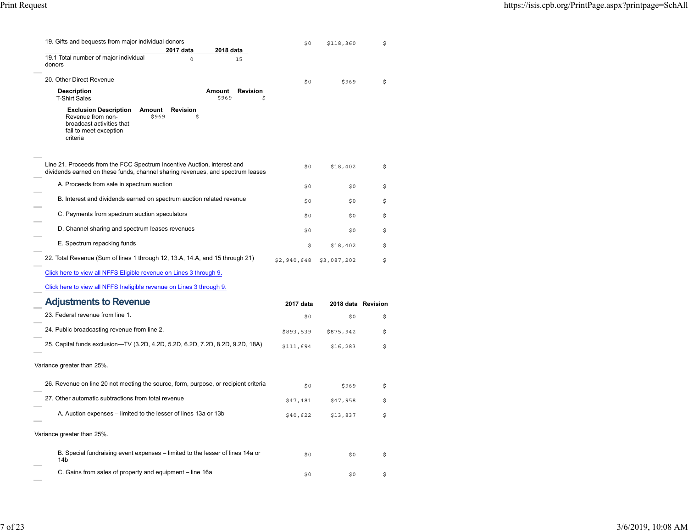| 19. Gifts and bequests from major individual donors                                                                                                              | \$0         | \$118,360          | \$ |
|------------------------------------------------------------------------------------------------------------------------------------------------------------------|-------------|--------------------|----|
| 2017 data<br>2018 data<br>19.1 Total number of major individual<br>$\circ$<br>15                                                                                 |             |                    |    |
| donors                                                                                                                                                           |             |                    |    |
| 20. Other Direct Revenue                                                                                                                                         | \$0         | \$969              | \$ |
| <b>Description</b><br>Amount<br><b>Revision</b>                                                                                                                  |             |                    |    |
| <b>T-Shirt Sales</b><br>\$969<br>\$                                                                                                                              |             |                    |    |
| <b>Exclusion Description</b><br>Amount<br><b>Revision</b><br>Revenue from non-<br>\$969<br>\$<br>broadcast activities that<br>fail to meet exception<br>criteria |             |                    |    |
| Line 21. Proceeds from the FCC Spectrum Incentive Auction, interest and<br>dividends earned on these funds, channel sharing revenues, and spectrum leases        | \$0         | \$18,402           | \$ |
| A. Proceeds from sale in spectrum auction                                                                                                                        | \$0         | \$0                | \$ |
| B. Interest and dividends earned on spectrum auction related revenue                                                                                             | \$0         | \$0                | \$ |
| C. Payments from spectrum auction speculators                                                                                                                    | \$0         | \$0                | \$ |
| D. Channel sharing and spectrum leases revenues                                                                                                                  | \$0         | \$0                | \$ |
| E. Spectrum repacking funds                                                                                                                                      | \$          | \$18,402           | \$ |
| 22. Total Revenue (Sum of lines 1 through 12, 13.A, 14.A, and 15 through 21)                                                                                     | \$2,940,648 | \$3,087,202        | \$ |
| Click here to view all NFFS Eligible revenue on Lines 3 through 9.                                                                                               |             |                    |    |
| Click here to view all NFFS Ineligible revenue on Lines 3 through 9.                                                                                             |             |                    |    |
| <b>Adjustments to Revenue</b>                                                                                                                                    | 2017 data   | 2018 data Revision |    |
| 23. Federal revenue from line 1.                                                                                                                                 | \$0         | \$0                | \$ |
| 24. Public broadcasting revenue from line 2.                                                                                                                     | \$893,539   | \$875,942          | \$ |
| 25. Capital funds exclusion-TV (3.2D, 4.2D, 5.2D, 6.2D, 7.2D, 8.2D, 9.2D, 18A)                                                                                   | \$111,694   | \$16, 283          | \$ |
| Variance greater than 25%.                                                                                                                                       |             |                    |    |
| 26. Revenue on line 20 not meeting the source, form, purpose, or recipient criteria                                                                              | \$0         | \$969              | \$ |
| 27. Other automatic subtractions from total revenue                                                                                                              | \$47,481    | \$47,958           | \$ |
| A. Auction expenses – limited to the lesser of lines 13a or 13b                                                                                                  | \$40,622    | \$13,837           | \$ |
|                                                                                                                                                                  |             |                    |    |
| Variance greater than 25%.                                                                                                                                       |             |                    |    |
| B. Special fundraising event expenses – limited to the lesser of lines 14a or<br>14 <sub>b</sub>                                                                 | \$0         | \$0                | \$ |
| C. Gains from sales of property and equipment - line 16a                                                                                                         | \$0         | \$0                | \$ |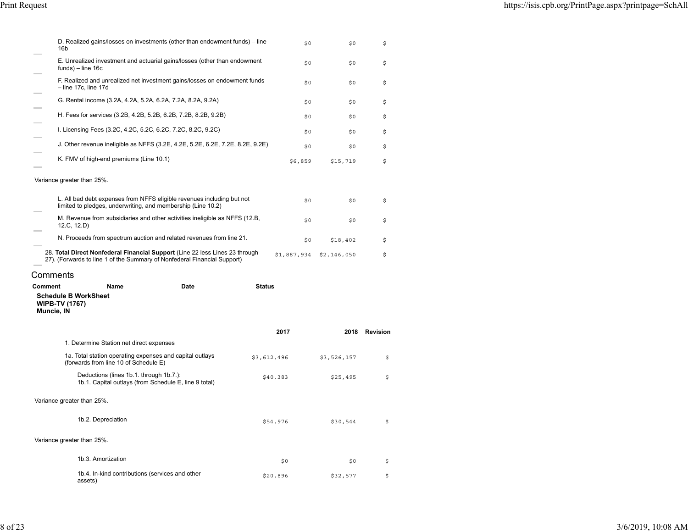| 16b                                                   | D. Realized gains/losses on investments (other than endowment funds) – line                                                                              |               | \$0         | \$0         | \$            |
|-------------------------------------------------------|----------------------------------------------------------------------------------------------------------------------------------------------------------|---------------|-------------|-------------|---------------|
|                                                       | E. Unrealized investment and actuarial gains/losses (other than endowment<br>$funds$ ) – line 16c                                                        |               | \$0         | \$0         | \$            |
|                                                       | F. Realized and unrealized net investment gains/losses on endowment funds<br>$-$ line 17c, line 17d                                                      |               | \$0         | \$0         | \$            |
|                                                       | G. Rental income (3.2A, 4.2A, 5.2A, 6.2A, 7.2A, 8.2A, 9.2A)                                                                                              |               | \$0         | \$0         | \$            |
|                                                       | H. Fees for services (3.2B, 4.2B, 5.2B, 6.2B, 7.2B, 8.2B, 9.2B)                                                                                          |               | \$0         | \$0         | \$            |
|                                                       | I. Licensing Fees (3.2C, 4.2C, 5.2C, 6.2C, 7.2C, 8.2C, 9.2C)                                                                                             |               | \$0         | \$0         | \$            |
|                                                       | J. Other revenue ineligible as NFFS (3.2E, 4.2E, 5.2E, 6.2E, 7.2E, 8.2E, 9.2E)                                                                           |               | \$0         | \$0         | \$            |
|                                                       | K. FMV of high-end premiums (Line 10.1)                                                                                                                  |               | \$6,859     | \$15,719    | \$            |
| Variance greater than 25%.                            |                                                                                                                                                          |               |             |             |               |
|                                                       | L. All bad debt expenses from NFFS eligible revenues including but not<br>limited to pledges, underwriting, and membership (Line 10.2)                   |               | \$0         | \$0         | \$            |
|                                                       | M. Revenue from subsidiaries and other activities ineligible as NFFS (12.B,<br>12.C, 12.D)                                                               |               | \$0         | \$0         | \$            |
|                                                       | N. Proceeds from spectrum auction and related revenues from line 21.                                                                                     |               | \$0         | \$18,402    | \$            |
|                                                       | 28. Total Direct Nonfederal Financial Support (Line 22 less Lines 23 through<br>27). (Forwards to line 1 of the Summary of Nonfederal Financial Support) |               | \$1,887,934 | \$2,146,050 | \$            |
|                                                       |                                                                                                                                                          |               |             |             |               |
| Comments                                              |                                                                                                                                                          |               |             |             |               |
| <b>Comment</b><br><b>WIPB-TV (1767)</b><br>Muncie, IN | Name<br>Date<br><b>Schedule B WorkSheet</b>                                                                                                              | <b>Status</b> |             |             |               |
|                                                       |                                                                                                                                                          |               | 2017        |             | 2018 Revision |
|                                                       | 1. Determine Station net direct expenses                                                                                                                 |               |             |             |               |
|                                                       | 1a. Total station operating expenses and capital outlays<br>(forwards from line 10 of Schedule E)                                                        | \$3,612,496   |             | \$3,526,157 | \$            |
|                                                       | Deductions (lines 1b.1. through 1b.7.):<br>1b.1. Capital outlays (from Schedule E, line 9 total)                                                         |               | \$40,383    | \$25,495    | \$            |
|                                                       | Variance greater than 25%.                                                                                                                               |               |             |             |               |
|                                                       | 1b.2. Depreciation                                                                                                                                       |               | \$54,976    | \$30,544    | \$            |
|                                                       | Variance greater than 25%.                                                                                                                               |               |             |             |               |
|                                                       | 1b.3. Amortization                                                                                                                                       |               | \$0         | \$0         | \$            |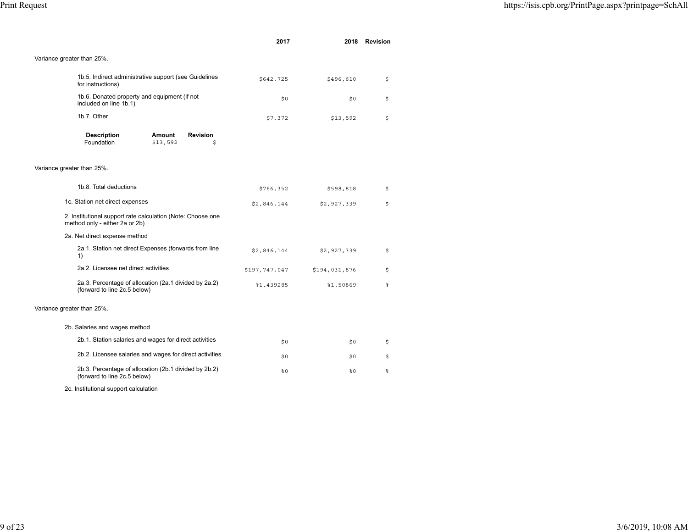|                                                                                               | 2017          |               | 2018 Revision |
|-----------------------------------------------------------------------------------------------|---------------|---------------|---------------|
| Variance greater than 25%.                                                                    |               |               |               |
| 1b.5. Indirect administrative support (see Guidelines<br>for instructions)                    | \$642,725     | \$496,610     | \$            |
| 1b.6. Donated property and equipment (if not<br>included on line 1b.1)                        | \$0           | \$0           | \$            |
| 1b.7. Other                                                                                   | \$7,372       | \$13,592      | \$            |
| <b>Description</b><br>Amount<br><b>Revision</b><br>Foundation<br>\$13,592<br>\$               |               |               |               |
| Variance greater than 25%.                                                                    |               |               |               |
| 1b.8. Total deductions                                                                        | \$766,352     | \$598,818     | \$            |
| 1c. Station net direct expenses                                                               | \$2,846,144   | \$2,927,339   | \$            |
| 2. Institutional support rate calculation (Note: Choose one<br>method only - either 2a or 2b) |               |               |               |
| 2a. Net direct expense method                                                                 |               |               |               |
| 2a.1. Station net direct Expenses (forwards from line<br>1)                                   | \$2,846,144   | \$2,927,339   | \$            |
| 2a.2. Licensee net direct activities                                                          | \$197,747,047 | \$194,031,876 | \$            |
| 2a.3. Percentage of allocation (2a.1 divided by 2a.2)<br>(forward to line 2c.5 below)         | %1.439285     | %1.50869      | န္            |
| Variance greater than 25%.                                                                    |               |               |               |
| 2b. Salaries and wages method                                                                 |               |               |               |
| 2b.1. Station salaries and wages for direct activities                                        | \$0           | \$0           | \$            |
| 2b.2. Licensee salaries and wages for direct activities                                       | \$0           | \$0           | \$            |
| 2b.3. Percentage of allocation (2b.1 divided by 2b.2)<br>(forward to line 2c.5 below)         | 80            | 80            | ٥ę            |
| 2c. Institutional support calculation                                                         |               |               |               |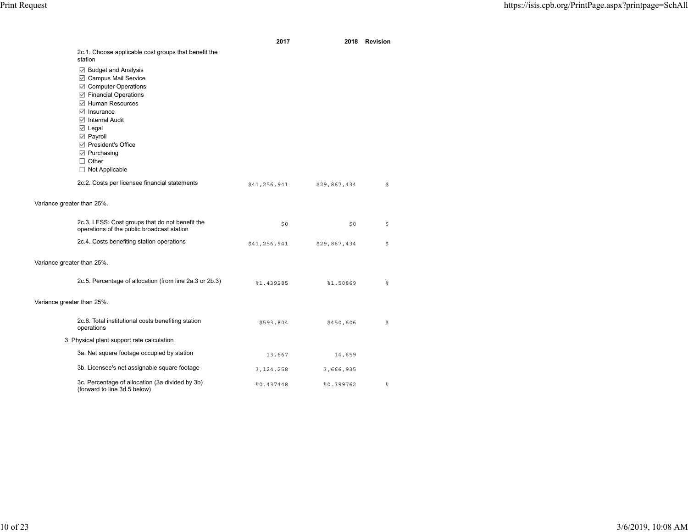|                            |                                                                                 | 2017         | 2018         | Revision |
|----------------------------|---------------------------------------------------------------------------------|--------------|--------------|----------|
|                            | 2c.1. Choose applicable cost groups that benefit the                            |              |              |          |
|                            | station                                                                         |              |              |          |
|                            | ☑ Budget and Analysis                                                           |              |              |          |
|                            | <b>☑</b> Campus Mail Service                                                    |              |              |          |
|                            | Computer Operations                                                             |              |              |          |
|                            | <b>☑</b> Financial Operations                                                   |              |              |          |
|                            | □ Human Resources                                                               |              |              |          |
|                            | $\boxdot$ Insurance                                                             |              |              |          |
|                            | □ Internal Audit                                                                |              |              |          |
|                            | ⊠ Legal                                                                         |              |              |          |
|                            | $\boxdot$ Payroll                                                               |              |              |          |
|                            | □ President's Office                                                            |              |              |          |
|                            | $\boxdot$ Purchasing                                                            |              |              |          |
|                            | $\Box$ Other                                                                    |              |              |          |
|                            | $\Box$ Not Applicable                                                           |              |              |          |
|                            | 2c.2. Costs per licensee financial statements                                   | \$41,256,941 | \$29,867,434 | \$       |
|                            |                                                                                 |              |              |          |
| Variance greater than 25%. |                                                                                 |              |              |          |
|                            |                                                                                 |              |              |          |
|                            | 2c.3. LESS: Cost groups that do not benefit the                                 |              |              |          |
|                            | operations of the public broadcast station                                      | \$0          | \$0          | \$       |
|                            |                                                                                 |              |              |          |
|                            | 2c.4. Costs benefiting station operations                                       | \$41,256,941 | \$29,867,434 | \$       |
|                            |                                                                                 |              |              |          |
| Variance greater than 25%. |                                                                                 |              |              |          |
|                            |                                                                                 |              |              |          |
|                            | 2c.5. Percentage of allocation (from line 2a.3 or 2b.3)                         | %1.439285    | \$1.50869    | နွ       |
|                            |                                                                                 |              |              |          |
| Variance greater than 25%. |                                                                                 |              |              |          |
|                            |                                                                                 |              |              |          |
|                            | 2c.6. Total institutional costs benefiting station                              | \$593,804    | \$450,606    | \$       |
|                            | operations                                                                      |              |              |          |
|                            | 3. Physical plant support rate calculation                                      |              |              |          |
|                            | 3a. Net square footage occupied by station                                      |              |              |          |
|                            |                                                                                 | 13,667       | 14,659       |          |
|                            | 3b. Licensee's net assignable square footage                                    | 3, 124, 258  | 3,666,935    |          |
|                            |                                                                                 |              |              |          |
|                            | 3c. Percentage of allocation (3a divided by 3b)<br>(forward to line 3d.5 below) | 80.437448    | 80.399762    | နွ       |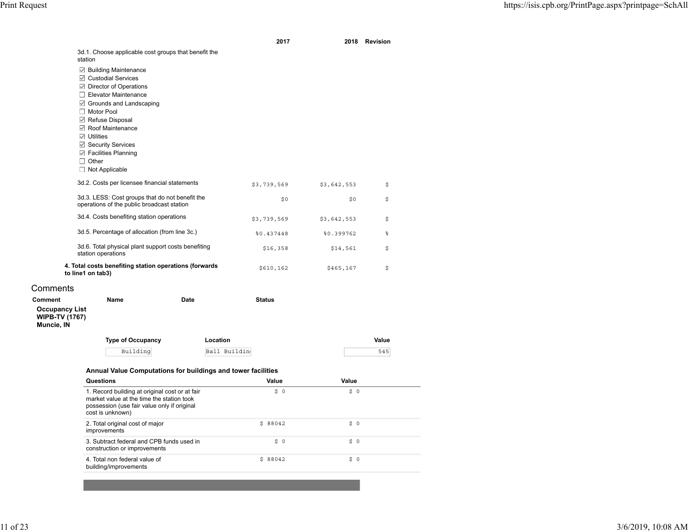|                                                              |                                                                                                              |      | 2017          |             | 2018 Revision |
|--------------------------------------------------------------|--------------------------------------------------------------------------------------------------------------|------|---------------|-------------|---------------|
|                                                              | 3d.1. Choose applicable cost groups that benefit the<br>station                                              |      |               |             |               |
|                                                              | ☑ Building Maintenance                                                                                       |      |               |             |               |
|                                                              | □ Custodial Services                                                                                         |      |               |             |               |
|                                                              | <b>□</b> Director of Operations                                                                              |      |               |             |               |
|                                                              | $\Box$ Elevator Maintenance                                                                                  |      |               |             |               |
|                                                              | □ Grounds and Landscaping                                                                                    |      |               |             |               |
|                                                              | $\Box$ Motor Pool                                                                                            |      |               |             |               |
|                                                              | Refuse Disposal<br>Roof Maintenance                                                                          |      |               |             |               |
|                                                              | $\boxdot$ Utilities                                                                                          |      |               |             |               |
|                                                              | <b>⊠</b> Security Services                                                                                   |      |               |             |               |
|                                                              | □ Facilities Planning                                                                                        |      |               |             |               |
|                                                              | $\Box$ Other                                                                                                 |      |               |             |               |
|                                                              | $\Box$ Not Applicable                                                                                        |      |               |             |               |
|                                                              | 3d.2. Costs per licensee financial statements                                                                |      | \$3,739,569   | \$3,642,553 | \$            |
|                                                              | 3d.3. LESS: Cost groups that do not benefit the<br>operations of the public broadcast station                |      | \$0           | \$0         | \$            |
|                                                              | 3d.4. Costs benefiting station operations                                                                    |      | \$3,739,569   | \$3,642,553 | \$            |
|                                                              | 3d.5. Percentage of allocation (from line 3c.)                                                               |      | %0.437448     | %0.399762   | န္            |
|                                                              | 3d.6. Total physical plant support costs benefiting<br>station operations                                    |      | \$16,358      | \$14,561    | \$            |
|                                                              | 4. Total costs benefiting station operations (forwards<br>to line1 on tab3)                                  |      | \$610,162     | \$465,167   | \$            |
| Comments                                                     |                                                                                                              |      |               |             |               |
| <b>Comment</b>                                               | Name                                                                                                         | Date | <b>Status</b> |             |               |
| <b>Occupancy List</b><br><b>WIPB-TV (1767)</b><br>Muncie, IN |                                                                                                              |      |               |             |               |
|                                                              | <b>Type of Occupancy</b>                                                                                     |      | Location      |             | Value         |
|                                                              | Building                                                                                                     |      | Ball Buildin  |             | 545           |
|                                                              | Annual Value Computations for buildings and tower facilities                                                 |      |               |             |               |
|                                                              | Questions                                                                                                    |      | Value         | Value       |               |
|                                                              | 1. Record building at original cost or at fair                                                               |      | \$0           | \$0         |               |
|                                                              | market value at the time the station took<br>possession (use fair value only if original<br>cost is unknown) |      |               |             |               |
|                                                              | 2. Total original cost of major<br>improvements                                                              |      | \$88042       | \$ 0        |               |
|                                                              | 3. Subtract federal and CPB funds used in<br>construction or improvements                                    |      | \$ 0          | \$0         |               |
|                                                              | 4. Total non federal value of<br>building/improvements                                                       |      | \$88042       | \$0         |               |
|                                                              |                                                                                                              |      |               |             |               |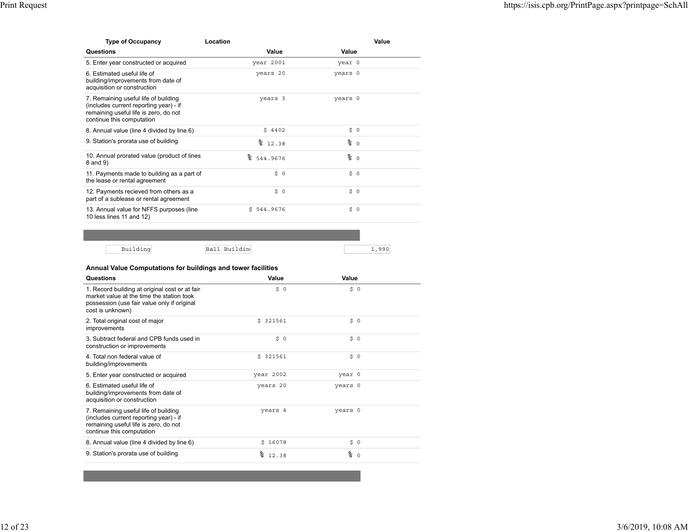| <b>Type of Occupancy</b>                                                                                                                             | Location      |                 | Value |
|------------------------------------------------------------------------------------------------------------------------------------------------------|---------------|-----------------|-------|
| Questions                                                                                                                                            | Value         | Value           |       |
| 5. Enter year constructed or acquired                                                                                                                | year 2001     | year 0          |       |
| 6. Estimated useful life of<br>building/improvements from date of<br>acquisition or construction                                                     | years 20      | years 0         |       |
| 7. Remaining useful life of building<br>(includes current reporting year) - if<br>remaining useful life is zero, do not<br>continue this computation | years 3       | years 0         |       |
| 8. Annual value (line 4 divided by line 6)                                                                                                           | \$4402        | \$0             |       |
| 9. Station's prorata use of building                                                                                                                 | 812.38        | $\frac{6}{6}$ 0 |       |
| 10. Annual prorated value (product of lines<br>8 and 9)                                                                                              | °<br>544.9676 | $\frac{6}{6}$ 0 |       |
| 11. Payments made to building as a part of<br>the lease or rental agreement                                                                          | \$0           | \$0             |       |
| 12. Payments recieved from others as a<br>part of a sublease or rental agreement                                                                     | \$0           | \$0             |       |
| 13. Annual value for NFFS purposes (line<br>10 less lines 11 and 12)                                                                                 | \$544.9676    | \$0             |       |

| $\sum_{i=1}^{n}$<br>- | ⊪Ba |  |
|-----------------------|-----|--|

| <b>Questions</b>                                                                                                                                               | Value     | Value          |  |
|----------------------------------------------------------------------------------------------------------------------------------------------------------------|-----------|----------------|--|
| 1. Record building at original cost or at fair<br>market value at the time the station took<br>possession (use fair value only if original<br>cost is unknown) | \$ 0      | \$0            |  |
| 2. Total original cost of major<br>improvements                                                                                                                | \$321561  | \$0            |  |
| 3. Subtract federal and CPB funds used in<br>construction or improvements                                                                                      | \$ 0      | \$0            |  |
| 4 Total non federal value of<br>building/improvements                                                                                                          | \$321561  | \$0            |  |
| 5. Enter year constructed or acquired                                                                                                                          | year 2002 | year 0         |  |
| 6 Estimated useful life of<br>building/improvements from date of<br>acquisition or construction                                                                | years 20  | years 0        |  |
| 7. Remaining useful life of building<br>(includes current reporting year) - if<br>remaining useful life is zero, do not<br>continue this computation           | years 4   | years 0        |  |
| 8. Annual value (line 4 divided by line 6)                                                                                                                     | \$16078   | \$0            |  |
| 9. Station's prorata use of building                                                                                                                           | 812.38    | ిన<br>$\Omega$ |  |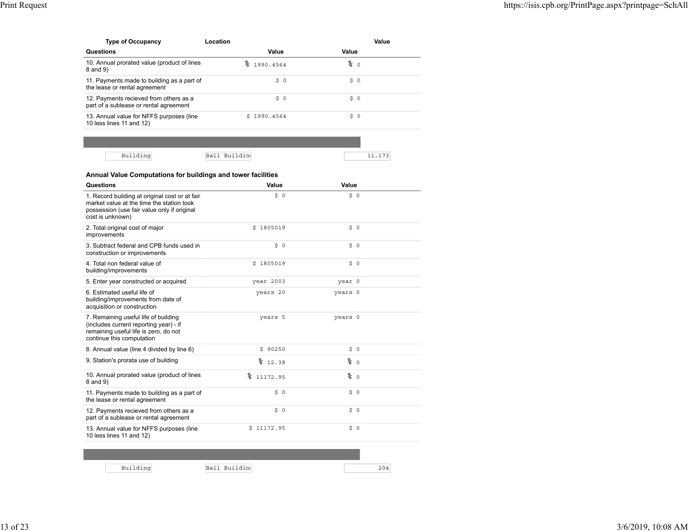| <b>Type of Occupancy</b>                                                         | Location           |                 | Value |
|----------------------------------------------------------------------------------|--------------------|-----------------|-------|
| <b>Questions</b>                                                                 | Value              | Value           |       |
| 10. Annual prorated value (product of lines<br>8 and 9)                          | <u>?</u> 1990.4564 | $\frac{6}{6}$ 0 |       |
| 11. Payments made to building as a part of<br>the lease or rental agreement      | \$ 0               | \$ 0            |       |
| 12. Payments recieved from others as a<br>part of a sublease or rental agreement | \$ 0               | \$ 0            |       |
| 13. Annual value for NFFS purposes (line<br>10 less lines 11 and 12)             | \$1990.4564        | \$ 0            |       |
|                                                                                  |                    |                 |       |

| <b>Questions</b>                                                                                                                                               | Value        | Value   |     |
|----------------------------------------------------------------------------------------------------------------------------------------------------------------|--------------|---------|-----|
| 1. Record building at original cost or at fair<br>market value at the time the station took<br>possession (use fair value only if original<br>cost is unknown) | \$ 0         | \$0     |     |
| 2. Total original cost of major<br>improvements                                                                                                                | \$1805019    | \$ 0    |     |
| 3. Subtract federal and CPB funds used in<br>construction or improvements                                                                                      | \$ 0         | \$0     |     |
| 4. Total non federal value of<br>building/improvements                                                                                                         | \$1805019    | 50      |     |
| 5. Enter year constructed or acquired                                                                                                                          | year 2003    | year 0  |     |
| 6. Estimated useful life of<br>building/improvements from date of<br>acquisition or construction                                                               | years 20     | years 0 |     |
| 7. Remaining useful life of building<br>(includes current reporting year) - if<br>remaining useful life is zero, do not<br>continue this computation           | years 5      | years 0 |     |
| 8. Annual value (line 4 divided by line 6)                                                                                                                     | \$90250      | \$0     |     |
| 9. Station's prorata use of building                                                                                                                           | 812.38       | % ა     |     |
| 10. Annual prorated value (product of lines<br>8 and 9)                                                                                                        | 11172.95     | % ა     |     |
| 11. Payments made to building as a part of<br>the lease or rental agreement                                                                                    | \$0          | \$0     |     |
| 12. Payments recieved from others as a<br>part of a sublease or rental agreement                                                                               | \$0          | \$0     |     |
| 13. Annual value for NFFS purposes (line<br>10 less lines 11 and 12)                                                                                           | \$11172.95   | \$ 0    |     |
|                                                                                                                                                                |              |         |     |
|                                                                                                                                                                |              |         |     |
| Building                                                                                                                                                       | Ball Buildin |         | 204 |

13 of 23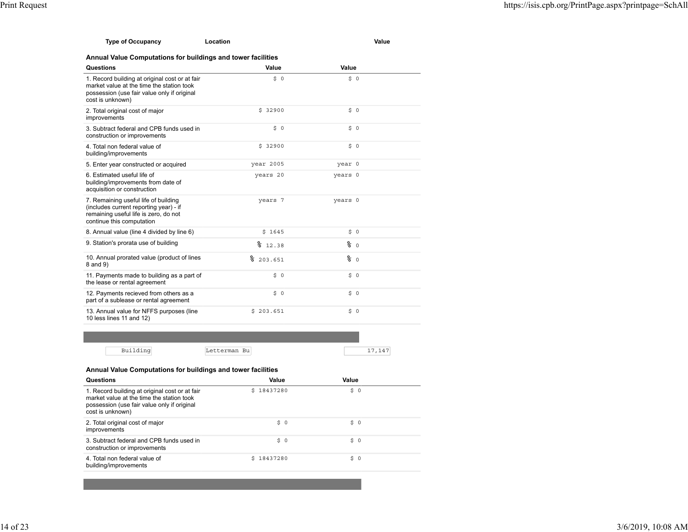| <b>Type of Occupancy</b> | Location | Value |
|--------------------------|----------|-------|
|                          |          |       |

| <b>Questions</b>                                                                                                                                               | Value        | Value           |  |
|----------------------------------------------------------------------------------------------------------------------------------------------------------------|--------------|-----------------|--|
| 1. Record building at original cost or at fair<br>market value at the time the station took<br>possession (use fair value only if original<br>cost is unknown) | \$0          | \$0             |  |
| 2. Total original cost of major<br>improvements                                                                                                                | \$32900      | \$0             |  |
| 3. Subtract federal and CPB funds used in<br>construction or improvements                                                                                      | \$0          | \$0             |  |
| 4. Total non federal value of<br>building/improvements                                                                                                         | \$32900      | 50              |  |
| 5. Enter year constructed or acquired                                                                                                                          | year 2005    | year 0          |  |
| 6. Estimated useful life of<br>building/improvements from date of<br>acquisition or construction                                                               | years 20     | years 0         |  |
| 7. Remaining useful life of building<br>(includes current reporting year) - if<br>remaining useful life is zero, do not<br>continue this computation           | years 7      | years 0         |  |
| 8. Annual value (line 4 divided by line 6)                                                                                                                     | \$1645       | \$0             |  |
| 9. Station's prorata use of building                                                                                                                           | 812.38       | $\frac{6}{6}$ 0 |  |
| 10. Annual prorated value (product of lines<br>8 and 9)                                                                                                        | °<br>203.651 | % ა             |  |
| 11. Payments made to building as a part of<br>the lease or rental agreement                                                                                    | \$0          | \$0             |  |
| 12. Payments recieved from others as a<br>part of a sublease or rental agreement                                                                               | \$0          | \$0             |  |
| 13. Annual value for NFFS purposes (line<br>10 less lines 11 and 12)                                                                                           | \$203.651    | \$0             |  |

| $D_{11}$ : 1.4 :<br>ື້ | Letterman Bu | <u>_</u> |
|------------------------|--------------|----------|

### **Annual Value Computations for buildings and tower facilities**

| <b>Questions</b>                                                                                                                                               | Value      | Value |  |
|----------------------------------------------------------------------------------------------------------------------------------------------------------------|------------|-------|--|
| 1. Record building at original cost or at fair<br>market value at the time the station took<br>possession (use fair value only if original<br>cost is unknown) | \$18437280 | \$0   |  |
| 2. Total original cost of major<br>improvements                                                                                                                | \$0        | \$0   |  |
| 3. Subtract federal and CPB funds used in<br>construction or improvements                                                                                      | \$0        | \$0   |  |
| 4. Total non federal value of<br>building/improvements                                                                                                         | \$18437280 | \$0   |  |
|                                                                                                                                                                |            |       |  |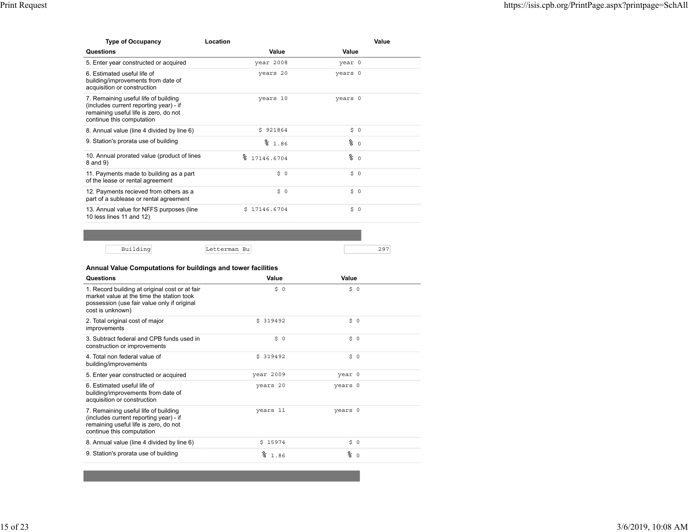| <b>Type of Occupancy</b>                                                                                                                             | Location          |         | Value   |
|------------------------------------------------------------------------------------------------------------------------------------------------------|-------------------|---------|---------|
| Questions                                                                                                                                            | Value             | Value   |         |
| 5. Enter year constructed or acquired                                                                                                                | year 2008         | year 0  |         |
| 6 Estimated useful life of<br>building/improvements from date of<br>acquisition or construction                                                      | years 20          | years 0 |         |
| 7. Remaining useful life of building<br>(includes current reporting year) - if<br>remaining useful life is zero, do not<br>continue this computation | years 10          | years 0 |         |
| 8. Annual value (line 4 divided by line 6)                                                                                                           | \$921864          | \$0     |         |
| 9. Station's prorata use of building                                                                                                                 | 81.86             | % ∂     |         |
| 10. Annual prorated value (product of lines<br>8 and 9)                                                                                              | °<br>17146.6704   | % ი     |         |
| 11. Payments made to building as a part<br>of the lease or rental agreement                                                                          | \$0               | \$0     |         |
| 12. Payments recieved from others as a<br>part of a sublease or rental agreement                                                                     | \$<br>$\mathbf 0$ | Ŝ.      | $\circ$ |
| 13. Annual value for NFFS purposes (line<br>10 less lines 11 and 12)                                                                                 | \$17146.6704      | \$0     |         |

| ٦. | וו גם<br>+ ه. آ<br>- ت<br>∽ |  |
|----|-----------------------------|--|

| <b>Questions</b>                                                                                                                                               | Value      | Value   |          |
|----------------------------------------------------------------------------------------------------------------------------------------------------------------|------------|---------|----------|
| 1. Record building at original cost or at fair<br>market value at the time the station took<br>possession (use fair value only if original<br>cost is unknown) | \$ 0       | \$0     |          |
| 2. Total original cost of major<br>improvements                                                                                                                | \$319492   | \$0     |          |
| 3. Subtract federal and CPB funds used in<br>construction or improvements                                                                                      | \$0        | \$0     |          |
| 4 Total non federal value of<br>building/improvements                                                                                                          | \$319492   | \$0     |          |
| 5. Enter year constructed or acquired                                                                                                                          | year 2009  | year 0  |          |
| 6 Estimated useful life of<br>building/improvements from date of<br>acquisition or construction                                                                | years 20   | years 0 |          |
| 7. Remaining useful life of building<br>(includes current reporting year) - if<br>remaining useful life is zero, do not<br>continue this computation           | years 11   | years 0 |          |
| 8. Annual value (line 4 divided by line 6)                                                                                                                     | \$15974    | \$0     |          |
| 9. Station's prorata use of building                                                                                                                           | °≈<br>1.86 | ⊱       | $\Omega$ |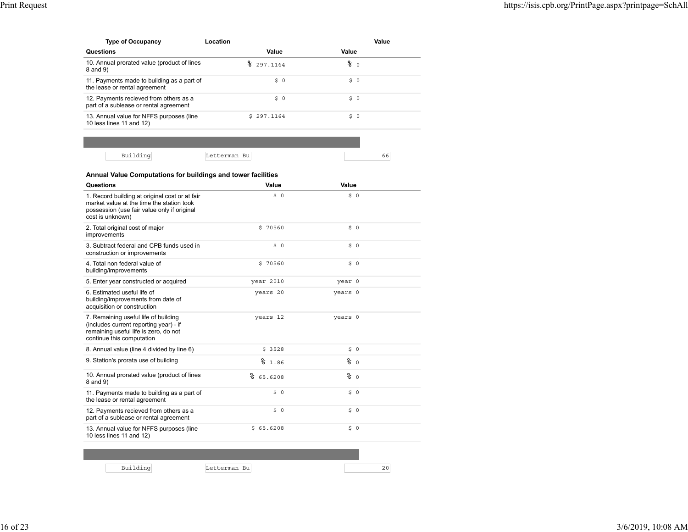| <b>Type of Occupancy</b>                                                         | Location   |       | Value |
|----------------------------------------------------------------------------------|------------|-------|-------|
| <b>Questions</b>                                                                 | Value      | Value |       |
| 10. Annual prorated value (product of lines<br>8 and 9)                          | 297.1164   | % ი   |       |
| 11. Payments made to building as a part of<br>the lease or rental agreement      | \$0        | \$0   |       |
| 12. Payments recieved from others as a<br>part of a sublease or rental agreement | \$0        | \$0   |       |
| 13. Annual value for NFFS purposes (line<br>10 less lines 11 and 12)             | \$297.1164 | \$0   |       |
|                                                                                  |            |       |       |

| ۰. |  |
|----|--|

| Questions                                                                                                                                                      | Value        | Value           |    |
|----------------------------------------------------------------------------------------------------------------------------------------------------------------|--------------|-----------------|----|
| 1. Record building at original cost or at fair<br>market value at the time the station took<br>possession (use fair value only if original<br>cost is unknown) | \$0          | \$0             |    |
| 2. Total original cost of major<br>improvements                                                                                                                | \$70560      | \$ 0            |    |
| 3. Subtract federal and CPB funds used in<br>construction or improvements                                                                                      | \$0          | \$0             |    |
| 4. Total non federal value of<br>building/improvements                                                                                                         | \$70560      | \$0             |    |
| 5. Enter year constructed or acquired                                                                                                                          | year 2010    | year 0          |    |
| 6. Estimated useful life of<br>building/improvements from date of<br>acquisition or construction                                                               | years 20     | years 0         |    |
| 7. Remaining useful life of building<br>(includes current reporting year) - if<br>remaining useful life is zero, do not<br>continue this computation           | years 12     | years 0         |    |
| 8. Annual value (line 4 divided by line 6)                                                                                                                     | \$3528       | \$0             |    |
| 9. Station's prorata use of building                                                                                                                           | 81.86        | $\frac{6}{6}$ 0 |    |
| 10. Annual prorated value (product of lines<br>8 and 9)                                                                                                        | °<br>65.6208 | % ი             |    |
| 11. Payments made to building as a part of<br>the lease or rental agreement                                                                                    | \$0          | \$0             |    |
| 12. Payments recieved from others as a<br>part of a sublease or rental agreement                                                                               | \$0          | \$0             |    |
| 13. Annual value for NFFS purposes (line<br>10 less lines 11 and 12)                                                                                           | \$65.6208    | \$0             |    |
|                                                                                                                                                                |              |                 |    |
| Building                                                                                                                                                       | Letterman Bu |                 | 20 |

16 of 23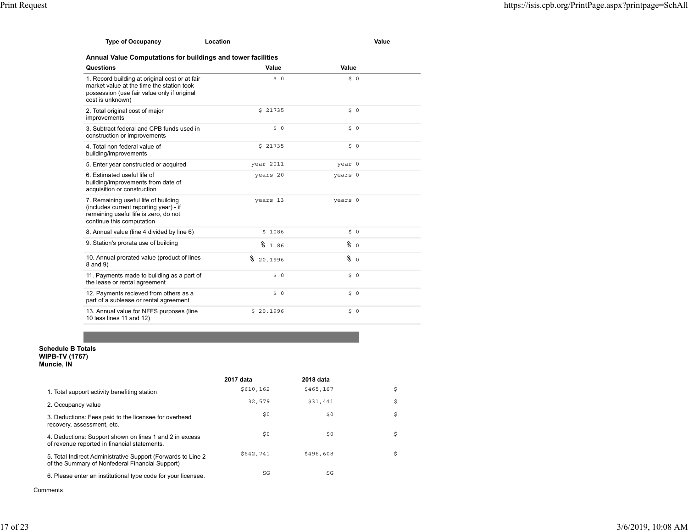| Type of Occupancy | Location | Value |
|-------------------|----------|-------|
|                   |          |       |

| <b>Questions</b>                                                                                                                                               | Value        | Value   |  |
|----------------------------------------------------------------------------------------------------------------------------------------------------------------|--------------|---------|--|
| 1. Record building at original cost or at fair<br>market value at the time the station took<br>possession (use fair value only if original<br>cost is unknown) | \$0          | \$0     |  |
| 2. Total original cost of major<br>improvements                                                                                                                | \$21735      | \$0     |  |
| 3. Subtract federal and CPB funds used in<br>construction or improvements                                                                                      | \$0          | \$0     |  |
| 4. Total non federal value of<br>building/improvements                                                                                                         | \$21735      | 50      |  |
| 5. Enter year constructed or acquired                                                                                                                          | year 2011    | year 0  |  |
| 6. Estimated useful life of<br>building/improvements from date of<br>acquisition or construction                                                               | years 20     | years 0 |  |
| 7. Remaining useful life of building<br>(includes current reporting year) - if<br>remaining useful life is zero, do not<br>continue this computation           | years 13     | years 0 |  |
| 8. Annual value (line 4 divided by line 6)                                                                                                                     | \$1086       | \$0     |  |
| 9. Station's prorata use of building                                                                                                                           | 81.86        | % ი     |  |
| 10. Annual prorated value (product of lines<br>8 and 9)                                                                                                        | ⊱<br>20.1996 | 80      |  |
| 11. Payments made to building as a part of<br>the lease or rental agreement                                                                                    | \$0          | \$0     |  |
| 12. Payments recieved from others as a<br>part of a sublease or rental agreement                                                                               | \$0          | \$0     |  |
| 13. Annual value for NFFS purposes (line<br>10 less lines 11 and 12)                                                                                           | \$20.1996    | \$0     |  |

# **Schedule B Totals WIPB-TV (1767) Muncie, IN**

|                                                                                                                  | 2017 data | 2018 data |    |
|------------------------------------------------------------------------------------------------------------------|-----------|-----------|----|
| 1. Total support activity benefiting station                                                                     | \$610,162 | \$465,167 | \$ |
| 2. Occupancy value                                                                                               | 32,579    | \$31,441  | \$ |
| 3. Deductions: Fees paid to the licensee for overhead<br>recovery, assessment, etc.                              | \$0       | \$0       | \$ |
| 4. Deductions: Support shown on lines 1 and 2 in excess<br>of revenue reported in financial statements.          | \$0       | \$0       | \$ |
| 5. Total Indirect Administrative Support (Forwards to Line 2)<br>of the Summary of Nonfederal Financial Support) | \$642,741 | \$496,608 | \$ |
| 6. Please enter an institutional type code for your licensee.                                                    | SG        | SG        |    |

Comments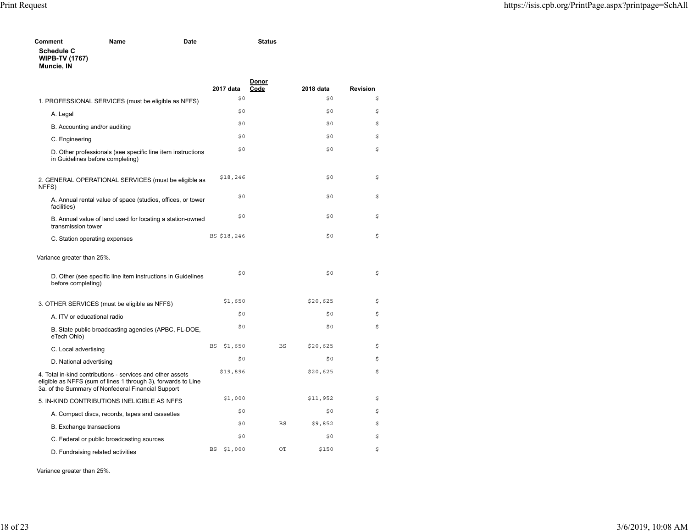| Comment                                                  | Name | Date | <b>Status</b> |
|----------------------------------------------------------|------|------|---------------|
| <b>Schedule C</b><br><b>WIPB-TV (1767)</b><br>Muncie, IN |      |      |               |

|                                                                                                                                                                                   | 2017 data     | Donor<br>Code | 2018 data | <b>Revision</b> |
|-----------------------------------------------------------------------------------------------------------------------------------------------------------------------------------|---------------|---------------|-----------|-----------------|
| 1. PROFESSIONAL SERVICES (must be eligible as NFFS)                                                                                                                               | \$0           |               | \$0       | \$              |
| A. Legal                                                                                                                                                                          | \$0           |               | \$0       | \$              |
| B. Accounting and/or auditing                                                                                                                                                     | \$0           |               | \$0       | \$              |
| C. Engineering                                                                                                                                                                    | \$0           |               | \$0       | \$              |
| D. Other professionals (see specific line item instructions<br>in Guidelines before completing)                                                                                   | \$0           |               | \$0       | \$              |
| 2. GENERAL OPERATIONAL SERVICES (must be eligible as<br>NFFS)                                                                                                                     | \$18,246      |               | \$0       | \$              |
| A. Annual rental value of space (studios, offices, or tower<br>facilities)                                                                                                        | \$0           |               | \$0       | \$              |
| B. Annual value of land used for locating a station-owned<br>transmission tower                                                                                                   | \$0           |               | \$0       | \$              |
| C. Station operating expenses                                                                                                                                                     | BS \$18,246   |               | \$0       | \$              |
| Variance greater than 25%.                                                                                                                                                        |               |               |           |                 |
| D. Other (see specific line item instructions in Guidelines<br>before completing)                                                                                                 | \$0           |               | \$0       | \$              |
| 3. OTHER SERVICES (must be eligible as NFFS)                                                                                                                                      | \$1,650       |               | \$20,625  | \$              |
| A. ITV or educational radio                                                                                                                                                       | \$0           |               | \$0       | \$              |
| B. State public broadcasting agencies (APBC, FL-DOE,<br>eTech Ohio)                                                                                                               | \$0           |               | \$0       | \$              |
| C. Local advertising                                                                                                                                                              | \$1,650<br>BS | <b>BS</b>     | \$20,625  | \$              |
| D. National advertising                                                                                                                                                           | \$0           |               | \$0       | \$              |
| 4. Total in-kind contributions - services and other assets<br>eligible as NFFS (sum of lines 1 through 3), forwards to Line<br>3a. of the Summary of Nonfederal Financial Support | \$19,896      |               | \$20,625  | \$              |
| 5. IN-KIND CONTRIBUTIONS INELIGIBLE AS NFFS                                                                                                                                       | \$1,000       |               | \$11,952  | \$              |
| A. Compact discs, records, tapes and cassettes                                                                                                                                    | \$0           |               | \$0       | \$              |
| <b>B.</b> Exchange transactions                                                                                                                                                   | \$0           | <b>BS</b>     | \$9,852   | \$              |
| C. Federal or public broadcasting sources                                                                                                                                         | \$0           |               | \$0       | \$              |
| D. Fundraising related activities                                                                                                                                                 | \$1,000<br>BS | OT            | \$150     | \$              |

Variance greater than 25%.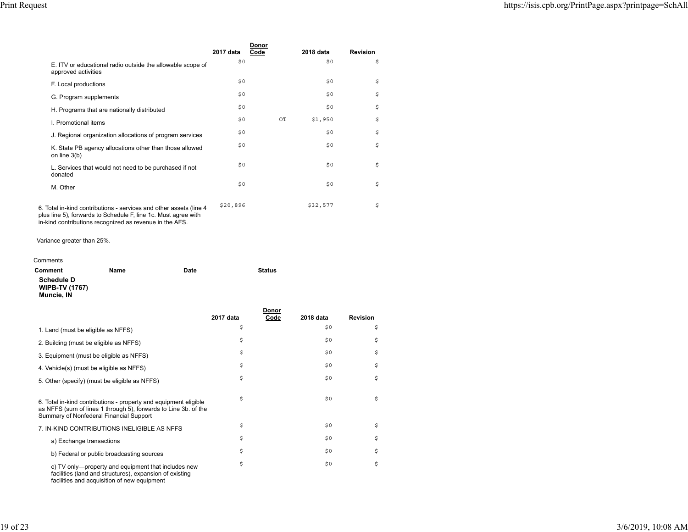|                                                                                                                                                                                                 | 2017 data | Donor |    | 2018 data | <b>Revision</b> |  |
|-------------------------------------------------------------------------------------------------------------------------------------------------------------------------------------------------|-----------|-------|----|-----------|-----------------|--|
| E. ITV or educational radio outside the allowable scope of<br>approved activities                                                                                                               | \$0       | Code  |    | \$0       | \$              |  |
| F. Local productions                                                                                                                                                                            | \$0       |       |    | \$0       | \$              |  |
| G. Program supplements                                                                                                                                                                          | \$0       |       |    | \$0       | \$              |  |
| H. Programs that are nationally distributed                                                                                                                                                     | \$0       |       |    | \$0       | \$              |  |
| I. Promotional items                                                                                                                                                                            | \$0       |       | OТ | \$1,950   | \$              |  |
| J. Regional organization allocations of program services                                                                                                                                        | \$0       |       |    | \$0       | \$              |  |
| K. State PB agency allocations other than those allowed<br>on line $3(b)$                                                                                                                       | \$0       |       |    | \$0       | \$              |  |
| L. Services that would not need to be purchased if not<br>donated                                                                                                                               | \$0       |       |    | \$0       | \$              |  |
| M. Other                                                                                                                                                                                        | \$0       |       |    | \$0       | \$              |  |
| 6. Total in-kind contributions - services and other assets (line 4<br>plus line 5), forwards to Schedule F, line 1c. Must agree with<br>in-kind contributions recognized as revenue in the AFS. | \$20,896  |       |    | \$32,577  | \$              |  |

Variance greater than 25%.

| Comments              |      |      |               |
|-----------------------|------|------|---------------|
| Comment               | Name | Date | <b>Status</b> |
| <b>Schedule D</b>     |      |      |               |
| <b>WIPB-TV (1767)</b> |      |      |               |
| Muncie, IN            |      |      |               |

|                                                                                                                                                                                |           | Donor |           |                 |
|--------------------------------------------------------------------------------------------------------------------------------------------------------------------------------|-----------|-------|-----------|-----------------|
|                                                                                                                                                                                | 2017 data | Code  | 2018 data | <b>Revision</b> |
| 1. Land (must be eligible as NFFS)                                                                                                                                             | \$        |       | \$0       | \$              |
| 2. Building (must be eligible as NFFS)                                                                                                                                         | \$        |       | \$0       | \$              |
| 3. Equipment (must be eligible as NFFS)                                                                                                                                        | \$        |       | \$0       | \$              |
| 4. Vehicle(s) (must be eligible as NFFS)                                                                                                                                       | \$        |       | \$0       | \$              |
| 5. Other (specify) (must be eligible as NFFS)                                                                                                                                  | \$        |       | \$0       | \$              |
| 6. Total in-kind contributions - property and equipment eligible<br>as NFFS (sum of lines 1 through 5), forwards to Line 3b. of the<br>Summary of Nonfederal Financial Support | \$        |       | \$0       | \$              |
| 7. IN-KIND CONTRIBUTIONS INELIGIBLE AS NFFS                                                                                                                                    | \$        |       | \$0       | \$              |
| a) Exchange transactions                                                                                                                                                       | \$        |       | \$0       | \$              |
| b) Federal or public broadcasting sources                                                                                                                                      | \$        |       | \$0       | \$              |
| c) TV only—property and equipment that includes new<br>facilities (land and structures), expansion of existing<br>facilities and acquisition of new equipment                  | \$        |       | \$0       | \$              |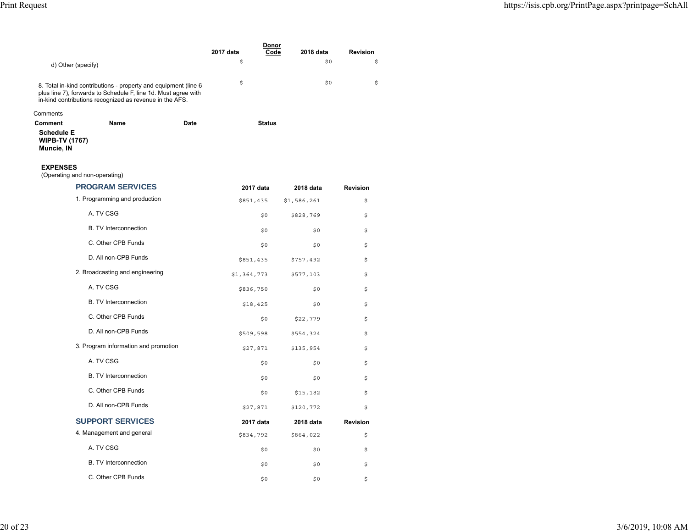|                                                                     |                                                                                                                                                                                              |             | Donor<br>2017 data<br>Code | 2018 data   | <b>Revision</b> |
|---------------------------------------------------------------------|----------------------------------------------------------------------------------------------------------------------------------------------------------------------------------------------|-------------|----------------------------|-------------|-----------------|
| d) Other (specify)                                                  |                                                                                                                                                                                              |             | \$                         | \$0         | \$              |
|                                                                     |                                                                                                                                                                                              |             |                            |             |                 |
|                                                                     | 8. Total in-kind contributions - property and equipment (line 6<br>plus line 7), forwards to Schedule F, line 1d. Must agree with<br>in-kind contributions recognized as revenue in the AFS. |             | \$                         | \$0         | \$              |
| Comments                                                            |                                                                                                                                                                                              |             |                            |             |                 |
| Comment<br><b>Schedule E</b><br><b>WIPB-TV (1767)</b><br>Muncie, IN | <b>Name</b>                                                                                                                                                                                  | <b>Date</b> | <b>Status</b>              |             |                 |
| <b>EXPENSES</b><br>(Operating and non-operating)                    |                                                                                                                                                                                              |             |                            |             |                 |
|                                                                     | <b>PROGRAM SERVICES</b>                                                                                                                                                                      |             | 2017 data                  | 2018 data   | <b>Revision</b> |
|                                                                     | 1. Programming and production                                                                                                                                                                |             | \$851,435                  | \$1,586,261 | \$              |
|                                                                     | A. TV CSG                                                                                                                                                                                    |             | \$0                        | \$828,769   | \$              |
|                                                                     | <b>B. TV Interconnection</b>                                                                                                                                                                 |             | \$0                        | \$0         | \$              |
|                                                                     | C. Other CPB Funds                                                                                                                                                                           |             | \$0                        | \$0         | \$              |
|                                                                     | D. All non-CPB Funds                                                                                                                                                                         |             | \$851,435                  | \$757,492   | \$              |
|                                                                     | 2. Broadcasting and engineering                                                                                                                                                              |             | \$1,364,773                | \$577,103   | \$              |
|                                                                     | A. TV CSG                                                                                                                                                                                    |             | \$836,750                  | \$0         | \$              |
|                                                                     | <b>B. TV Interconnection</b>                                                                                                                                                                 |             | \$18,425                   | \$0         | \$              |
|                                                                     | C. Other CPB Funds                                                                                                                                                                           |             | \$0                        | \$22,779    | \$              |
|                                                                     | D. All non-CPB Funds                                                                                                                                                                         |             | \$509,598                  | \$554,324   | \$              |
|                                                                     | 3. Program information and promotion                                                                                                                                                         |             | \$27,871                   | \$135,954   | \$              |
|                                                                     | A. TV CSG                                                                                                                                                                                    |             | \$0                        | \$0         | \$              |
|                                                                     | <b>B. TV Interconnection</b>                                                                                                                                                                 |             | \$0                        | \$0         | \$              |
|                                                                     | C. Other CPB Funds                                                                                                                                                                           |             | \$0                        | \$15,182    | \$              |
|                                                                     | D. All non-CPB Funds                                                                                                                                                                         |             | \$27,871                   | \$120,772   | \$              |
|                                                                     | <b>SUPPORT SERVICES</b>                                                                                                                                                                      |             | 2017 data                  | 2018 data   | <b>Revision</b> |
|                                                                     | 4. Management and general                                                                                                                                                                    |             | \$834,792                  | \$864,022   | \$              |
|                                                                     | A. TV CSG                                                                                                                                                                                    |             | \$0                        | \$0         | \$              |
|                                                                     | <b>B. TV Interconnection</b>                                                                                                                                                                 |             | \$0                        | \$0         | \$              |
|                                                                     | C. Other CPB Funds                                                                                                                                                                           |             | \$0                        | \$0         | \$              |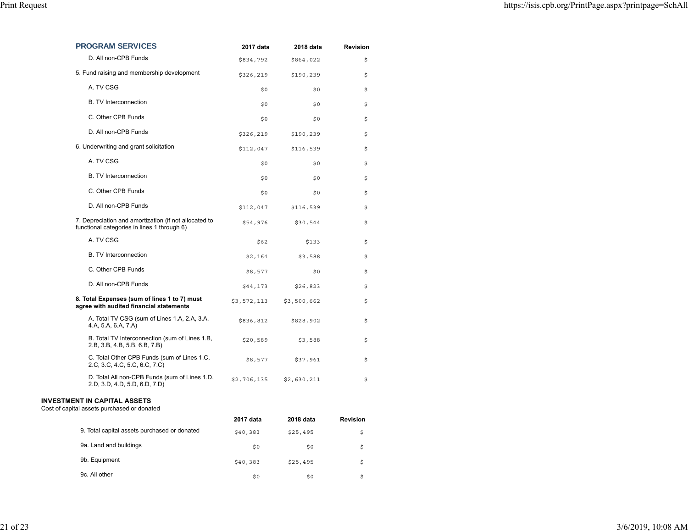| <b>PROGRAM SERVICES</b>                                                                              | 2017 data   | 2018 data   | <b>Revision</b> |
|------------------------------------------------------------------------------------------------------|-------------|-------------|-----------------|
| D. All non-CPB Funds                                                                                 | \$834,792   | \$864,022   | \$              |
| 5. Fund raising and membership development                                                           | \$326,219   | \$190,239   | \$              |
| A. TV CSG                                                                                            | \$0         | \$0         | \$              |
| <b>B.</b> TV Interconnection                                                                         | \$0         | \$0         | \$              |
| C. Other CPB Funds                                                                                   | \$0         | \$0         | \$              |
| D. All non-CPB Funds                                                                                 | \$326,219   | \$190,239   | \$              |
| 6. Underwriting and grant solicitation                                                               | \$112,047   | \$116,539   | \$              |
| A. TV CSG                                                                                            | \$0         | \$0         | \$              |
| <b>B. TV Interconnection</b>                                                                         | \$0         | \$0         | \$              |
| C. Other CPB Funds                                                                                   | \$0         | \$0         | \$              |
| D. All non-CPB Funds                                                                                 | \$112,047   | \$116,539   | \$              |
| 7. Depreciation and amortization (if not allocated to<br>functional categories in lines 1 through 6) | \$54,976    | \$30,544    | \$              |
| A. TV CSG                                                                                            | \$62        | \$133       | \$              |
| <b>B. TV Interconnection</b>                                                                         | \$2,164     | \$3,588     | \$              |
| C. Other CPB Funds                                                                                   | \$8,577     | \$0         | \$              |
| D. All non-CPB Funds                                                                                 | \$44,173    | \$26,823    | \$              |
| 8. Total Expenses (sum of lines 1 to 7) must<br>agree with audited financial statements              | \$3,572,113 | \$3,500,662 | \$              |
| A. Total TV CSG (sum of Lines 1.A, 2.A, 3.A,<br>4.A, 5.A, 6.A, 7.A)                                  | \$836,812   | \$828,902   | \$              |
| B. Total TV Interconnection (sum of Lines 1.B,<br>2.B, 3.B, 4.B, 5.B, 6.B, 7.B)                      | \$20,589    | \$3,588     | \$              |
| C. Total Other CPB Funds (sum of Lines 1.C,<br>2.C, 3.C, 4.C, 5.C, 6.C, 7.C)                         | \$8,577     | \$37,961    | \$              |
| D. Total All non-CPB Funds (sum of Lines 1.D,<br>2.D, 3.D, 4.D, 5.D, 6.D, 7.D)                       | \$2,706,135 | \$2,630,211 | \$              |
| <b>INVESTMENT IN CAPITAL ASSETS</b><br>Cost of capital assets purchased or donated                   |             |             |                 |
|                                                                                                      | 2017 data   | 2018 data   | <b>Revision</b> |
| 9. Total capital assets purchased or donated                                                         | \$40,383    | \$25,495    | \$              |
| 9a. Land and buildings                                                                               | \$0         | \$0         | \$              |
| 9b. Equipment                                                                                        | \$40,383    | \$25,495    | \$              |

 $\mathfrak{g}_0$  , and the set of the set of the set of the set of the set of the set of the set of the set of the set of the set of the set of the set of the set of the set of the set of the set of the set of the set of the se

9c. All other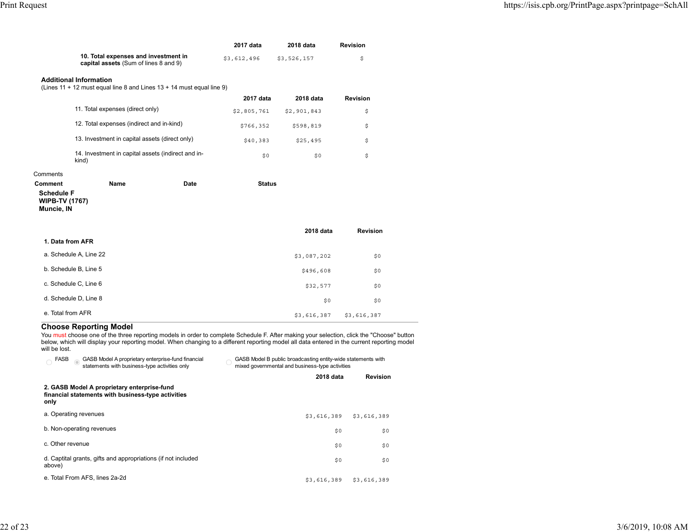|                                                                               | 2017 data   | 2018 data   | Revision |
|-------------------------------------------------------------------------------|-------------|-------------|----------|
| 10. Total expenses and investment in<br>capital assets (Sum of lines 8 and 9) | \$3.612.496 | \$3.526.157 |          |

#### **Additional Information**

(Lines 11 + 12 must equal line 8 and Lines 13 + 14 must equal line 9)

|                                                             | 2017 data   | 2018 data   | <b>Revision</b> |
|-------------------------------------------------------------|-------------|-------------|-----------------|
| 11. Total expenses (direct only)                            | \$2,805,761 | \$2,901,843 | \$              |
| 12. Total expenses (indirect and in-kind)                   | \$766,352   | \$598,819   | \$              |
| 13. Investment in capital assets (direct only)              | \$40.383    | \$25,495    | \$              |
| 14. Investment in capital assets (indirect and in-<br>kind) | \$0         | \$0         | \$              |

#### Comments

| Comment                                                  | Name | Date | <b>Status</b> |
|----------------------------------------------------------|------|------|---------------|
| <b>Schedule F</b><br><b>WIPB-TV (1767)</b><br>Muncie, IN |      |      |               |
|                                                          |      |      |               |

|                        | 2018 data   | <b>Revision</b> |  |
|------------------------|-------------|-----------------|--|
| 1. Data from AFR       |             |                 |  |
| a. Schedule A, Line 22 | \$3,087,202 | \$0             |  |
| b. Schedule B, Line 5  | \$496,608   | \$0             |  |
| c. Schedule C, Line 6  | \$32,577    | \$0             |  |
| d. Schedule D, Line 8  | \$0         | \$0             |  |
| e. Total from AFR      | \$3,616,387 | \$3,616,387     |  |

#### **Choose Reporting Model**

You <u>must</u> choose one of the three reporting models in order to complete Schedule F. After making your selection, click the "Choose" button below, which will display your reporting model. When changing to a different reporting model all data entered in the current reporting model will be lost.

| FASB<br>GASB Model A proprietary enterprise-fund financial<br>statements with business-type activities only | GASB Model B public broadcasting entity-wide statements with<br>mixed governmental and business-type activities |             |  |
|-------------------------------------------------------------------------------------------------------------|-----------------------------------------------------------------------------------------------------------------|-------------|--|
|                                                                                                             | 2018 data                                                                                                       | Revision    |  |
| 2. GASB Model A proprietary enterprise-fund<br>financial statements with business-type activities<br>only   |                                                                                                                 |             |  |
| a. Operating revenues                                                                                       | \$3,616,389                                                                                                     | \$3,616,389 |  |
| b. Non-operating revenues                                                                                   | \$0                                                                                                             | \$0         |  |
| c. Other revenue                                                                                            | \$0                                                                                                             | \$0         |  |
| d. Captital grants, gifts and appropriations (if not included<br>above)                                     | \$0                                                                                                             | \$0         |  |
| e. Total From AFS, lines 2a-2d                                                                              | \$3,616,389                                                                                                     | \$3,616,389 |  |